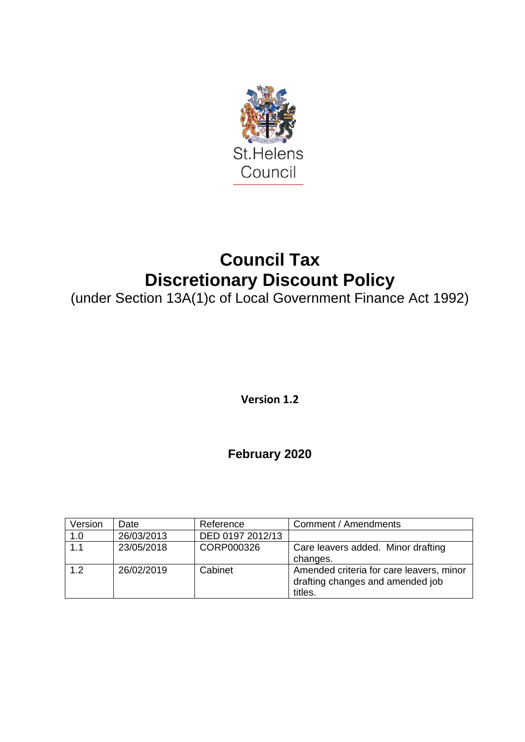

# **Council Tax Discretionary Discount Policy**

(under Section 13A(1)c of Local Government Finance Act 1992)

**Version 1.2**

**February 2020**

| Version          | Date       | Reference        | Comment / Amendments                                                                    |
|------------------|------------|------------------|-----------------------------------------------------------------------------------------|
| 1.0              | 26/03/2013 | DED 0197 2012/13 |                                                                                         |
| $\overline{1.1}$ | 23/05/2018 | CORP000326       | Care leavers added. Minor drafting                                                      |
|                  |            |                  | changes.                                                                                |
| 12               | 26/02/2019 | Cabinet          | Amended criteria for care leavers, minor<br>drafting changes and amended job<br>titles. |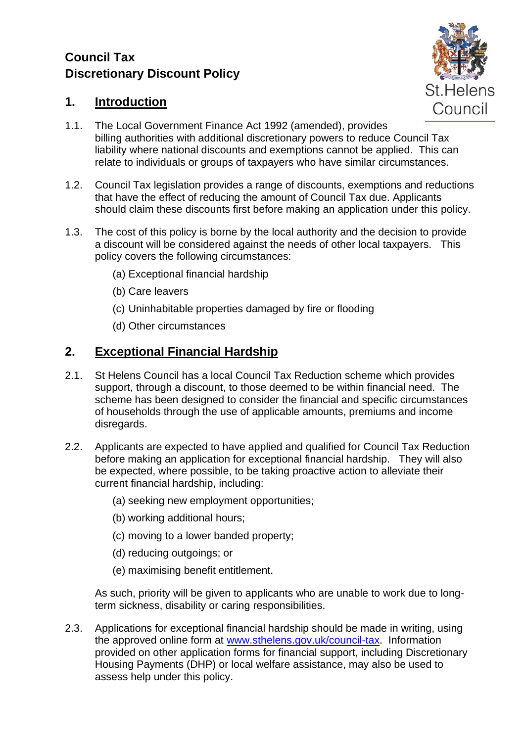## **Council Tax Discretionary Discount Policy**



#### **1. Introduction**

- 1.1. The Local Government Finance Act 1992 (amended), provides billing authorities with additional discretionary powers to reduce Council Tax liability where national discounts and exemptions cannot be applied. This can relate to individuals or groups of taxpayers who have similar circumstances.
- 1.2. Council Tax legislation provides a range of discounts, exemptions and reductions that have the effect of reducing the amount of Council Tax due. Applicants should claim these discounts first before making an application under this policy.
- 1.3. The cost of this policy is borne by the local authority and the decision to provide a discount will be considered against the needs of other local taxpayers. This policy covers the following circumstances:
	- (a) Exceptional financial hardship
	- (b) Care leavers
	- (c) Uninhabitable properties damaged by fire or flooding
	- (d) Other circumstances

#### **2. Exceptional Financial Hardship**

- 2.1. St Helens Council has a local Council Tax Reduction scheme which provides support, through a discount, to those deemed to be within financial need. The scheme has been designed to consider the financial and specific circumstances of households through the use of applicable amounts, premiums and income disregards.
- 2.2. Applicants are expected to have applied and qualified for Council Tax Reduction before making an application for exceptional financial hardship. They will also be expected, where possible, to be taking proactive action to alleviate their current financial hardship, including:
	- (a) seeking new employment opportunities;
	- (b) working additional hours;
	- (c) moving to a lower banded property;
	- (d) reducing outgoings; or
	- (e) maximising benefit entitlement.

As such, priority will be given to applicants who are unable to work due to longterm sickness, disability or caring responsibilities.

2.3. Applications for exceptional financial hardship should be made in writing, using the approved online form at [www.sthelens.gov.uk/council-tax.](http://www.sthelens.gov.uk/council-tax) Information provided on other application forms for financial support, including Discretionary Housing Payments (DHP) or local welfare assistance, may also be used to assess help under this policy.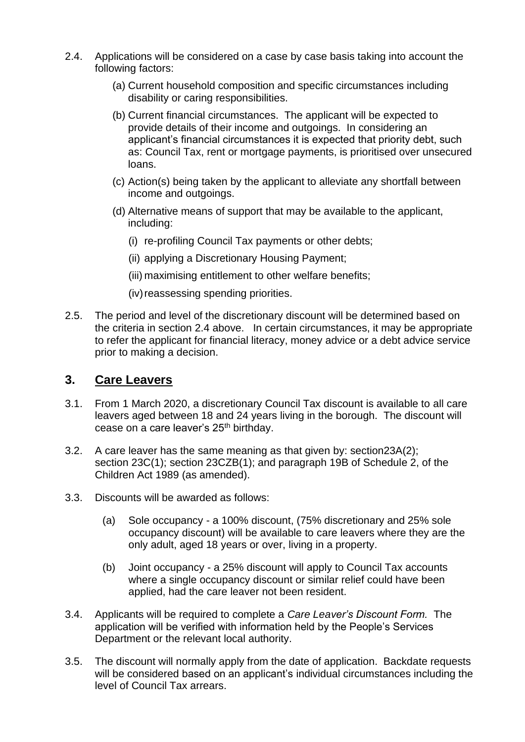- 2.4. Applications will be considered on a case by case basis taking into account the following factors:
	- (a) Current household composition and specific circumstances including disability or caring responsibilities.
	- (b) Current financial circumstances. The applicant will be expected to provide details of their income and outgoings. In considering an applicant's financial circumstances it is expected that priority debt, such as: Council Tax, rent or mortgage payments, is prioritised over unsecured loans.
	- (c) Action(s) being taken by the applicant to alleviate any shortfall between income and outgoings.
	- (d) Alternative means of support that may be available to the applicant, including:
		- (i) re-profiling Council Tax payments or other debts;
		- (ii) applying a Discretionary Housing Payment;
		- (iii) maximising entitlement to other welfare benefits;
		- (iv) reassessing spending priorities.
- 2.5. The period and level of the discretionary discount will be determined based on the criteria in section 2.4 above. In certain circumstances, it may be appropriate to refer the applicant for financial literacy, money advice or a debt advice service prior to making a decision.

#### **3. Care Leavers**

- 3.1. From 1 March 2020, a discretionary Council Tax discount is available to all care leavers aged between 18 and 24 years living in the borough. The discount will cease on a care leaver's 25<sup>th</sup> birthday.
- 3.2. A care leaver has the same meaning as that given by: section23A(2); section 23C(1); section 23CZB(1); and paragraph 19B of Schedule 2, of the Children Act 1989 (as amended).
- 3.3. Discounts will be awarded as follows:
	- (a) Sole occupancy a 100% discount, (75% discretionary and 25% sole occupancy discount) will be available to care leavers where they are the only adult, aged 18 years or over, living in a property.
	- (b) Joint occupancy a 25% discount will apply to Council Tax accounts where a single occupancy discount or similar relief could have been applied, had the care leaver not been resident.
- 3.4. Applicants will be required to complete a *Care Leaver's Discount Form.* The application will be verified with information held by the People's Services Department or the relevant local authority.
- 3.5. The discount will normally apply from the date of application. Backdate requests will be considered based on an applicant's individual circumstances including the level of Council Tax arrears.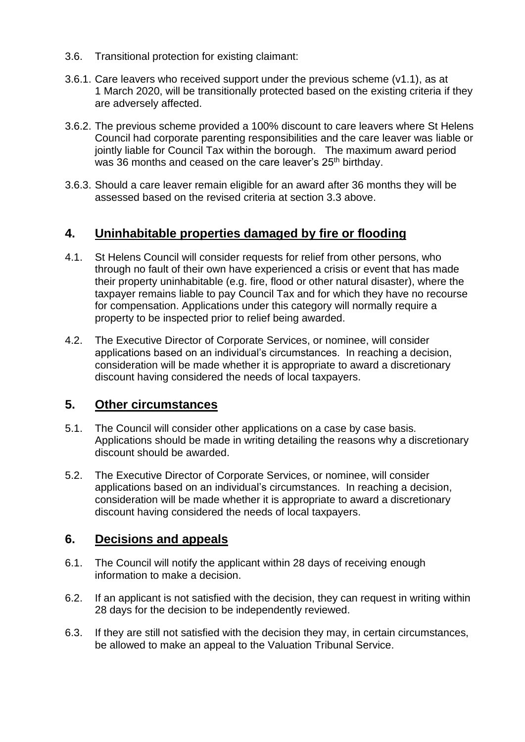- 3.6. Transitional protection for existing claimant:
- 3.6.1. Care leavers who received support under the previous scheme (v1.1), as at 1 March 2020, will be transitionally protected based on the existing criteria if they are adversely affected.
- 3.6.2. The previous scheme provided a 100% discount to care leavers where St Helens Council had corporate parenting responsibilities and the care leaver was liable or iointly liable for Council Tax within the borough. The maximum award period was 36 months and ceased on the care leaver's 25<sup>th</sup> birthday.
- 3.6.3. Should a care leaver remain eligible for an award after 36 months they will be assessed based on the revised criteria at section 3.3 above.

#### **4. Uninhabitable properties damaged by fire or flooding**

- 4.1. St Helens Council will consider requests for relief from other persons, who through no fault of their own have experienced a crisis or event that has made their property uninhabitable (e.g. fire, flood or other natural disaster), where the taxpayer remains liable to pay Council Tax and for which they have no recourse for compensation. Applications under this category will normally require a property to be inspected prior to relief being awarded.
- 4.2. The Executive Director of Corporate Services, or nominee, will consider applications based on an individual's circumstances. In reaching a decision, consideration will be made whether it is appropriate to award a discretionary discount having considered the needs of local taxpayers.

#### **5. Other circumstances**

- 5.1. The Council will consider other applications on a case by case basis. Applications should be made in writing detailing the reasons why a discretionary discount should be awarded.
- 5.2. The Executive Director of Corporate Services, or nominee, will consider applications based on an individual's circumstances. In reaching a decision, consideration will be made whether it is appropriate to award a discretionary discount having considered the needs of local taxpayers.

#### **6. Decisions and appeals**

- 6.1. The Council will notify the applicant within 28 days of receiving enough information to make a decision.
- 6.2. If an applicant is not satisfied with the decision, they can request in writing within 28 days for the decision to be independently reviewed.
- 6.3. If they are still not satisfied with the decision they may, in certain circumstances, be allowed to make an appeal to the Valuation Tribunal Service.